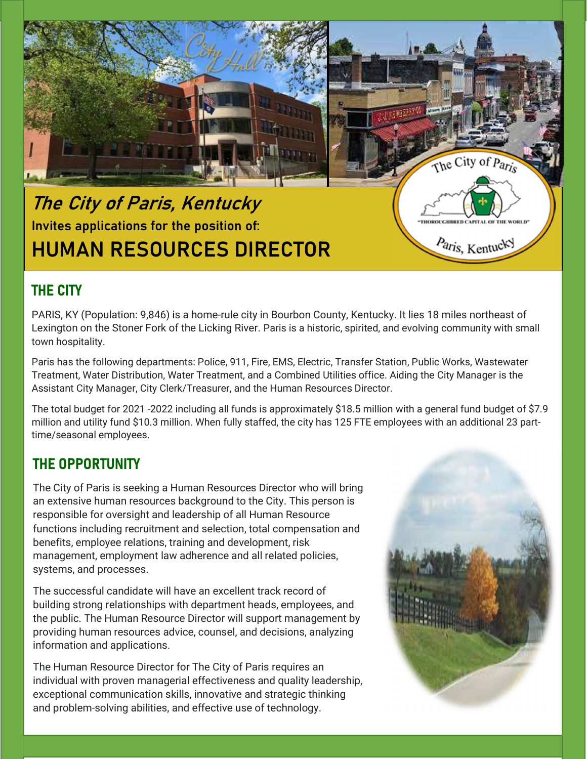

# The City of Paris, Kentucky Invites applications for the position of: HUMAN RESOURCES DIRECTOR

## THE CITY

PARIS, KY (Population: 9,846) is a home-rule city in Bourbon County, Kentucky. It lies 18 miles northeast of Lexington on the Stoner Fork of the Licking River. Paris is a historic, spirited, and evolving community with small town hospitality.

Paris has the following departments: Police, 911, Fire, EMS, Electric, Transfer Station, Public Works, Wastewater Treatment, Water Distribution, Water Treatment, and a Combined Utilities office. Aiding the City Manager is the Assistant City Manager, City Clerk/Treasurer, and the Human Resources Director.

The total budget for 2021 -2022 including all funds is approximately \$18.5 million with a general fund budget of \$7.9 million and utility fund \$10.3 million. When fully staffed, the city has 125 FTE employees with an additional 23 parttime/seasonal employees.

### THE OPPORTUNITY

The City of Paris is seeking a Human Resources Director who will bring an extensive human resources background to the City. This person is responsible for oversight and leadership of all Human Resource functions including recruitment and selection, total compensation and benefits, employee relations, training and development, risk management, employment law adherence and all related policies, systems, and processes.

The successful candidate will have an excellent track record of building strong relationships with department heads, employees, and the public. The Human Resource Director will support management by providing human resources advice, counsel, and decisions, analyzing information and applications.

The Human Resource Director for The City of Paris requires an individual with proven managerial effectiveness and quality leadership, exceptional communication skills, innovative and strategic thinking and problem-solving abilities, and effective use of technology.



Paris, Kentucky